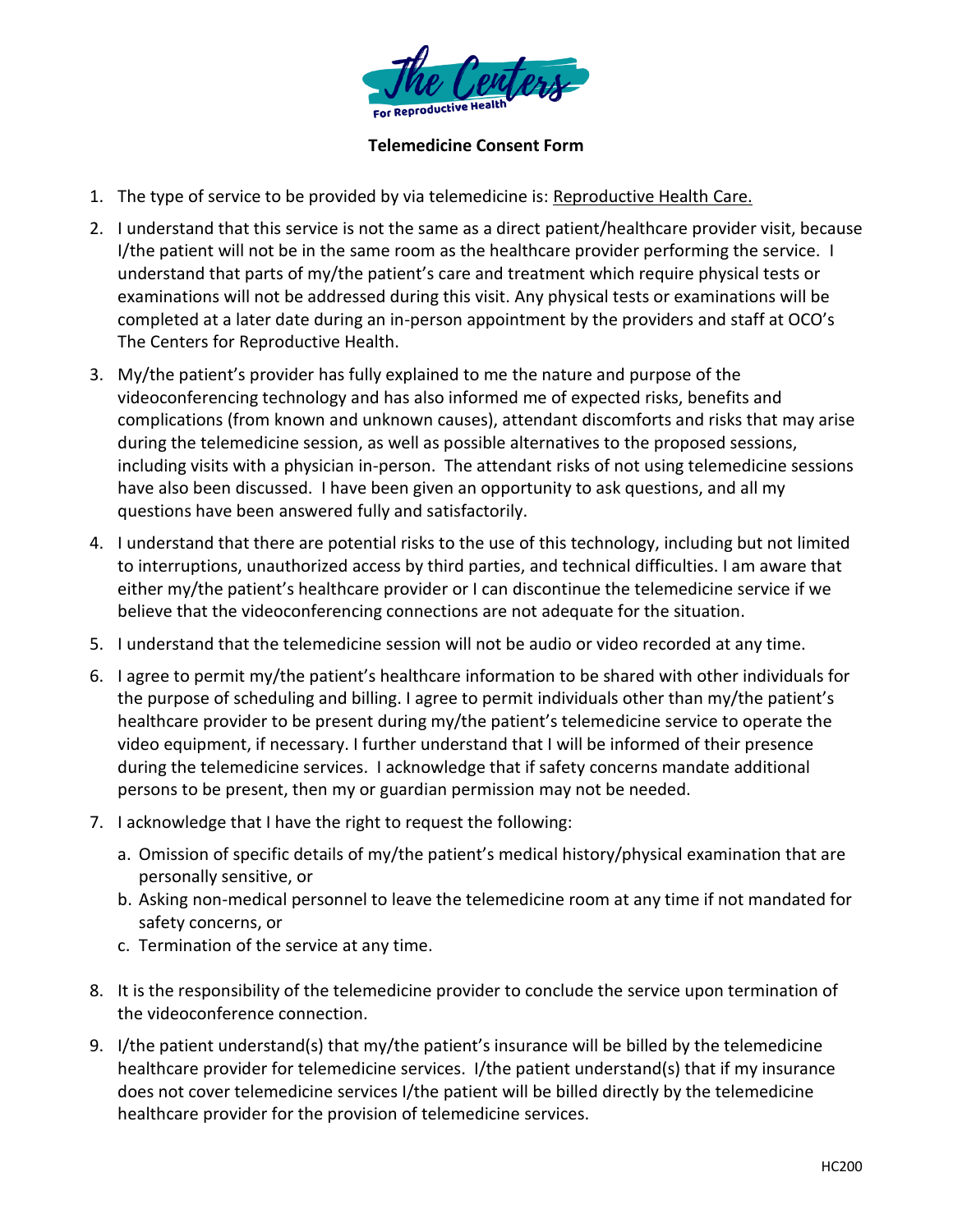

## **Telemedicine Consent Form**

- 1. The type of service to be provided by via telemedicine is: Reproductive Health Care.
- 2. I understand that this service is not the same as a direct patient/healthcare provider visit, because I/the patient will not be in the same room as the healthcare provider performing the service. I understand that parts of my/the patient's care and treatment which require physical tests or examinations will not be addressed during this visit. Any physical tests or examinations will be completed at a later date during an in-person appointment by the providers and staff at OCO's The Centers for Reproductive Health.
- 3. My/the patient's provider has fully explained to me the nature and purpose of the videoconferencing technology and has also informed me of expected risks, benefits and complications (from known and unknown causes), attendant discomforts and risks that may arise during the telemedicine session, as well as possible alternatives to the proposed sessions, including visits with a physician in-person. The attendant risks of not using telemedicine sessions have also been discussed. I have been given an opportunity to ask questions, and all my questions have been answered fully and satisfactorily.
- 4. I understand that there are potential risks to the use of this technology, including but not limited to interruptions, unauthorized access by third parties, and technical difficulties. I am aware that either my/the patient's healthcare provider or I can discontinue the telemedicine service if we believe that the videoconferencing connections are not adequate for the situation.
- 5. I understand that the telemedicine session will not be audio or video recorded at any time.
- 6. I agree to permit my/the patient's healthcare information to be shared with other individuals for the purpose of scheduling and billing. I agree to permit individuals other than my/the patient's healthcare provider to be present during my/the patient's telemedicine service to operate the video equipment, if necessary. I further understand that I will be informed of their presence during the telemedicine services. I acknowledge that if safety concerns mandate additional persons to be present, then my or guardian permission may not be needed.
- 7. I acknowledge that I have the right to request the following:
	- a. Omission of specific details of my/the patient's medical history/physical examination that are personally sensitive, or
	- b. Asking non-medical personnel to leave the telemedicine room at any time if not mandated for safety concerns, or
	- c. Termination of the service at any time.
- 8. It is the responsibility of the telemedicine provider to conclude the service upon termination of the videoconference connection.
- 9. I/the patient understand(s) that my/the patient's insurance will be billed by the telemedicine healthcare provider for telemedicine services. I/the patient understand(s) that if my insurance does not cover telemedicine services I/the patient will be billed directly by the telemedicine healthcare provider for the provision of telemedicine services.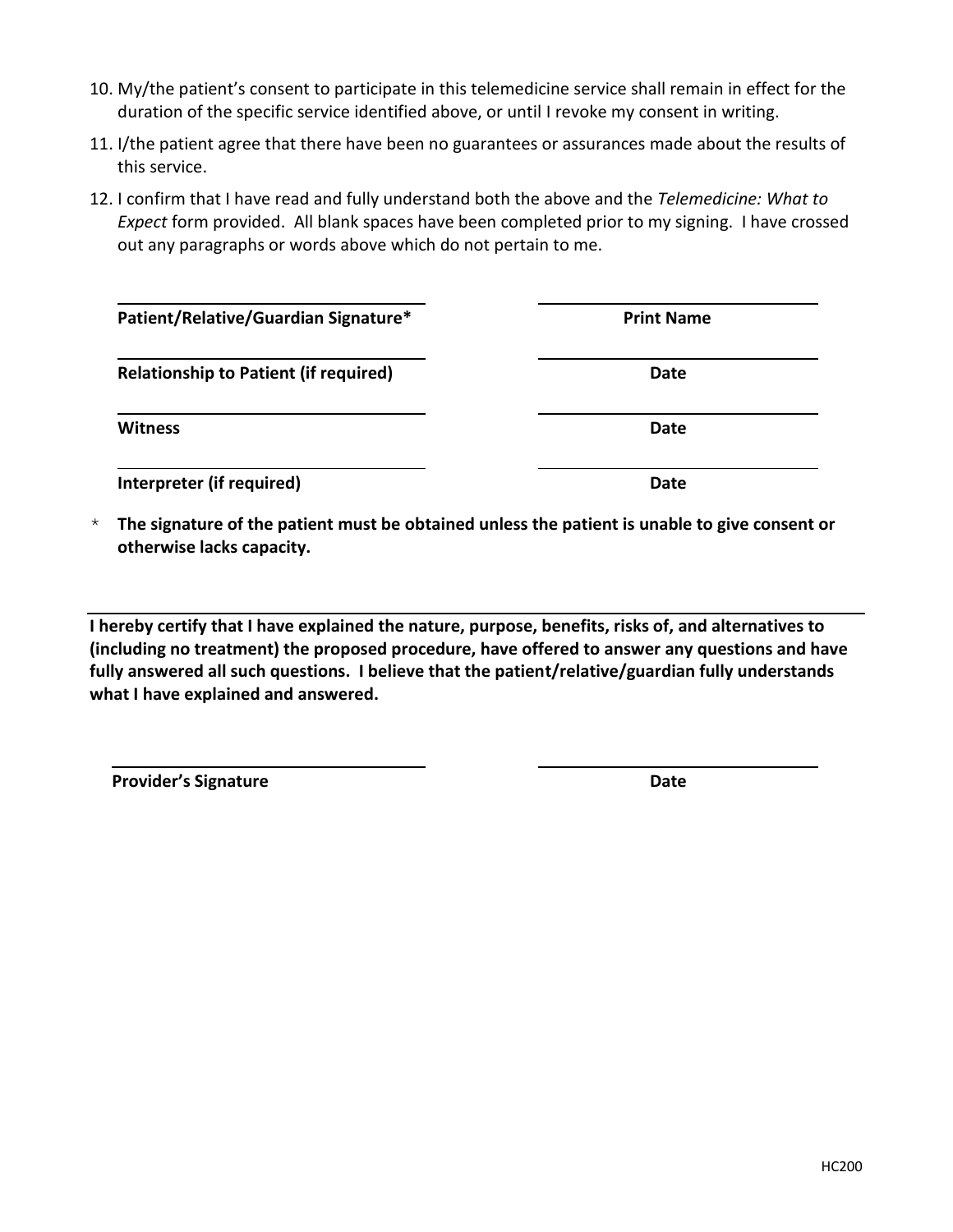- 10. My/the patient's consent to participate in this telemedicine service shall remain in effect for the duration of the specific service identified above, or until I revoke my consent in writing.
- 11. I/the patient agree that there have been no guarantees or assurances made about the results of this service.
- 12. I confirm that I have read and fully understand both the above and the *Telemedicine: What to Expect* form provided. All blank spaces have been completed prior to my signing. I have crossed out any paragraphs or words above which do not pertain to me.

| Patient/Relative/Guardian Signature*         | <b>Print Name</b> |
|----------------------------------------------|-------------------|
| <b>Relationship to Patient (if required)</b> | Date              |
| <b>Witness</b>                               | Date              |
| Interpreter (if required)                    | Date              |

\* **The signature of the patient must be obtained unless the patient is unable to give consent or otherwise lacks capacity.**

**I hereby certify that I have explained the nature, purpose, benefits, risks of, and alternatives to (including no treatment) the proposed procedure, have offered to answer any questions and have fully answered all such questions. I believe that the patient/relative/guardian fully understands what I have explained and answered.** 

**Provider's Signature Date**